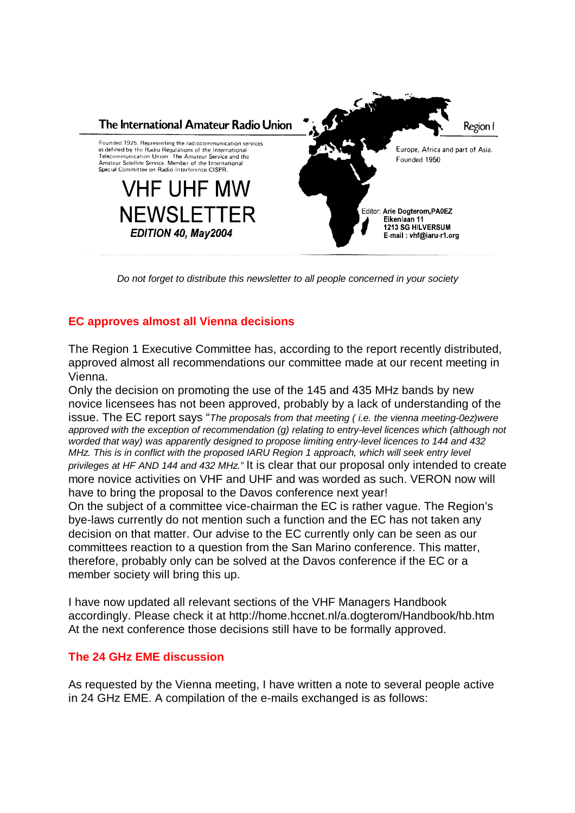

*Do not forget to distribute this newsletter to all people concerned in your society*

# **EC approves almost all Vienna decisions**

The Region 1 Executive Committee has, according to the report recently distributed, approved almost all recommendations our committee made at our recent meeting in Vienna.

Only the decision on promoting the use of the 145 and 435 MHz bands by new novice licensees has not been approved, probably by a lack of understanding of the issue. The EC report says "*The proposals from that meeting ( i.e. the vienna meeting-0ez)were approved with the exception of recommendation (g) relating to entry-level licences which (although not worded that way) was apparently designed to propose limiting entry-level licences to 144 and 432 MHz. This is in conflict with the proposed IARU Region 1 approach, which will seek entry level privileges at HF AND 144 and 432 MHz."* It is clear that our proposal only intended to create more novice activities on VHF and UHF and was worded as such. VERON now will have to bring the proposal to the Davos conference next year! On the subject of a committee vice-chairman the EC is rather vague. The Region's bye-laws currently do not mention such a function and the EC has not taken any decision on that matter. Our advise to the EC currently only can be seen as our committees reaction to a question from the San Marino conference. This matter, therefore, probably only can be solved at the Davos conference if the EC or a member society will bring this up.

I have now updated all relevant sections of the VHF Managers Handbook accordingly. Please check it at http://home.hccnet.nl/a.dogterom/Handbook/hb.htm At the next conference those decisions still have to be formally approved.

## **The 24 GHz EME discussion**

As requested by the Vienna meeting, I have written a note to several people active in 24 GHz EME. A compilation of the e-mails exchanged is as follows: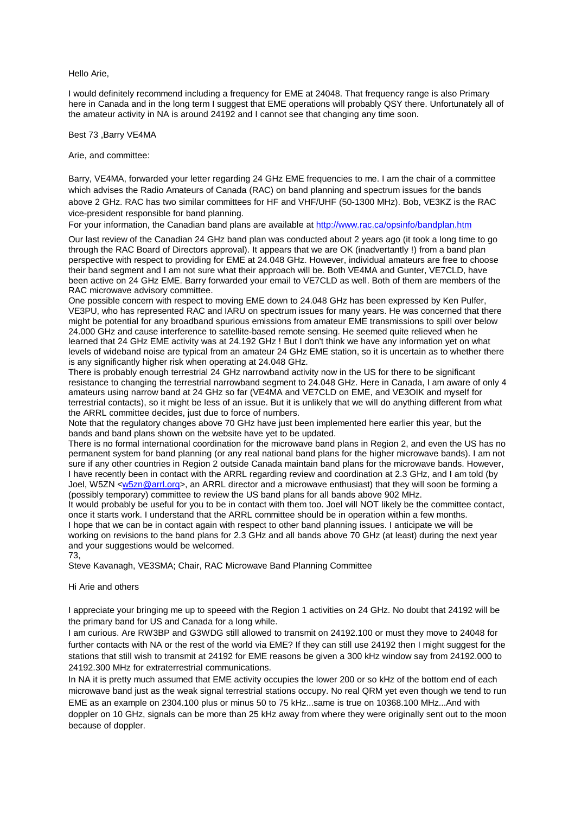Hello Arie,

I would definitely recommend including a frequency for EME at 24048. That frequency range is also Primary here in Canada and in the long term I suggest that EME operations will probably QSY there. Unfortunately all of the amateur activity in NA is around 24192 and I cannot see that changing any time soon.

Best 73 ,Barry VE4MA

Arie, and committee:

Barry, VE4MA, forwarded your letter regarding 24 GHz EME frequencies to me. I am the chair of a committee which advises the Radio Amateurs of Canada (RAC) on band planning and spectrum issues for the bands above 2 GHz. RAC has two similar committees for HF and VHF/UHF (50-1300 MHz). Bob, VE3KZ is the RAC vice-president responsible for band planning.

For your information, the Canadian band plans are available at http://www.rac.ca/opsinfo/bandplan.htm

Our last review of the Canadian 24 GHz band plan was conducted about 2 years ago (it took a long time to go through the RAC Board of Directors approval). It appears that we are OK (inadvertantly !) from a band plan perspective with respect to providing for EME at 24.048 GHz. However, individual amateurs are free to choose their band segment and I am not sure what their approach will be. Both VE4MA and Gunter, VE7CLD, have been active on 24 GHz EME. Barry forwarded your email to VE7CLD as well. Both of them are members of the RAC microwave advisory committee.

One possible concern with respect to moving EME down to 24.048 GHz has been expressed by Ken Pulfer, VE3PU, who has represented RAC and IARU on spectrum issues for many years. He was concerned that there might be potential for any broadband spurious emissions from amateur EME transmissions to spill over below 24.000 GHz and cause interference to satellite-based remote sensing. He seemed quite relieved when he learned that 24 GHz EME activity was at 24.192 GHz ! But I don't think we have any information yet on what levels of wideband noise are typical from an amateur 24 GHz EME station, so it is uncertain as to whether there is any significantly higher risk when operating at 24.048 GHz.

There is probably enough terrestrial 24 GHz narrowband activity now in the US for there to be significant resistance to changing the terrestrial narrowband segment to 24.048 GHz. Here in Canada, I am aware of only 4 amateurs using narrow band at 24 GHz so far (VE4MA and VE7CLD on EME, and VE3OIK and myself for terrestrial contacts), so it might be less of an issue. But it is unlikely that we will do anything different from what the ARRL committee decides, just due to force of numbers.

Note that the regulatory changes above 70 GHz have just been implemented here earlier this year, but the bands and band plans shown on the website have yet to be updated.

There is no formal international coordination for the microwave band plans in Region 2, and even the US has no permanent system for band planning (or any real national band plans for the higher microwave bands). I am not sure if any other countries in Region 2 outside Canada maintain band plans for the microwave bands. However, I have recently been in contact with the ARRL regarding review and coordination at 2.3 GHz, and I am told (by Joel, W5ZN <w5zn@arrl.org>, an ARRL director and a microwave enthusiast) that they will soon be forming a (possibly temporary) committee to review the US band plans for all bands above 902 MHz.

It would probably be useful for you to be in contact with them too. Joel will NOT likely be the committee contact, once it starts work. I understand that the ARRL committee should be in operation within a few months. I hope that we can be in contact again with respect to other band planning issues. I anticipate we will be working on revisions to the band plans for 2.3 GHz and all bands above 70 GHz (at least) during the next year and your suggestions would be welcomed.

73,

Steve Kavanagh, VE3SMA; Chair, RAC Microwave Band Planning Committee

#### Hi Arie and others

I appreciate your bringing me up to speeed with the Region 1 activities on 24 GHz. No doubt that 24192 will be the primary band for US and Canada for a long while.

I am curious. Are RW3BP and G3WDG still allowed to transmit on 24192.100 or must they move to 24048 for further contacts with NA or the rest of the world via EME? If they can still use 24192 then I might suggest for the stations that still wish to transmit at 24192 for EME reasons be given a 300 kHz window say from 24192.000 to 24192.300 MHz for extraterrestrial communications.

In NA it is pretty much assumed that EME activity occupies the lower 200 or so kHz of the bottom end of each microwave band just as the weak signal terrestrial stations occupy. No real QRM yet even though we tend to run EME as an example on 2304.100 plus or minus 50 to 75 kHz...same is true on 10368.100 MHz...And with doppler on 10 GHz, signals can be more than 25 kHz away from where they were originally sent out to the moon because of doppler.